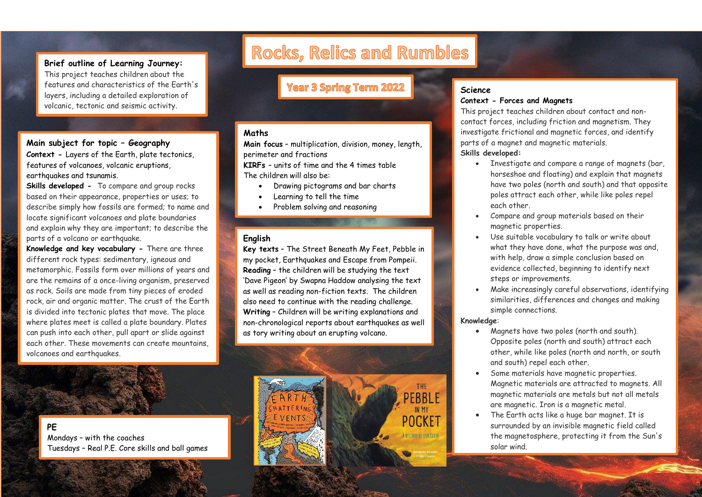## **Brief outline of Learning Journey:**

This project teaches children about the features and characteristics of the Earth's layers, including a detailed exploration of volcanic, tectonic and seismic activity.

## **Main subject for topic – Geography**

**Context -** Layers of the Earth, plate tectonics, features of volcanoes, volcanic eruptions, earthquakes and tsunamis.

**Skills developed -** To compare and group rocks based on their appearance, properties or uses; to describe simply how fossils are formed; to name and locate significant volcanoes and plate boundaries and explain why they are important; to describe the parts of a volcano or earthquake.

**Knowledge and key vocabulary -** There are three different rock types: sedimentary, igneous and metamorphic. Fossils form over millions of years and are the remains of a once-living organism, preserved as rock. Soils are made from tiny pieces of eroded rock, air and organic matter. The crust of the Earth is divided into tectonic plates that move. The place where plates meet is called a plate boundary. Plates can push into each other, pull apart or slide against each other. These movements can create mountains, volcanoes and earthquakes.

Rocks, Relics and Rumbles

# **Year 3 Spring Term 2022**

#### **Maths**

**Main focus** – multiplication, division, money, length, perimeter and fractions

**KIRFs** – units of time and the 4 times table The children will also be:

- Drawing pictograms and bar charts
- Learning to tell the time
- Problem solving and reasoning

## **English**

**Key texts** – The Street Beneath My Feet, Pebble in my pocket, Earthquakes and Escape from Pompeii. **Reading** – the children will be studying the text 'Dave Pigeon' by Swapna Haddow analysing the text as well as reading non-fiction texts. The children also need to continue with the reading challenge. **Writing** – Children will be writing explanations and non-chronological reports about earthquakes as well as tory writing about an erupting volcano.



## **Science Context - Forces and Magnets**

This project teaches children about contact and noncontact forces, including friction and magnetism. They investigate frictional and magnetic forces, and identify parts of a magnet and magnetic materials. **Skills developed:**

- Investigate and compare a range of magnets (bar, horseshoe and floating) and explain that magnets have two poles (north and south) and that opposite poles attract each other, while like poles repel each other.
- Compare and group materials based on their magnetic properties.
- Use suitable vocabulary to talk or write about what they have done, what the purpose was and, with help, draw a simple conclusion based on evidence collected, beginning to identify next steps or improvements.
- Make increasingly careful observations, identifying similarities, differences and changes and making simple connections.

#### **Knowledge**:

- Magnets have two poles (north and south). Opposite poles (north and south) attract each other, while like poles (north and north, or south and south) repel each other.
- Some materials have magnetic properties. Magnetic materials are attracted to magnets. All magnetic materials are metals but not all metals are magnetic. Iron is a magnetic metal.
- The Earth acts like a huge bar magnet. It is surrounded by an invisible magnetic field called the magnetosphere, protecting it from the Sun's solar wind.

**PE**

Mondays – with the coaches Tuesdays – Real P.E. Core skills and ball games